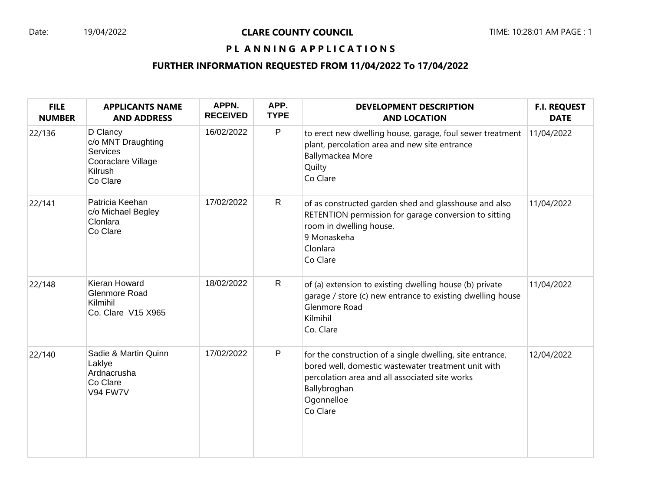# Date: 19/04/2022 **CLARE COUNTY COUNCIL** TIME: 10:28:01 AM PAGE : 1

## PL ANNING APPLICATIONS

### **FURTHER INFORMATION REQUESTED FROM 11/04/2022 To 17/04/2022**

| <b>FILE</b><br><b>NUMBER</b> | <b>APPLICANTS NAME</b><br><b>AND ADDRESS</b>                                            | APPN.<br><b>RECEIVED</b> | APP.<br><b>TYPE</b> | <b>DEVELOPMENT DESCRIPTION</b><br><b>AND LOCATION</b>                                                                                                                                                        | <b>F.I. REQUEST</b><br><b>DATE</b> |
|------------------------------|-----------------------------------------------------------------------------------------|--------------------------|---------------------|--------------------------------------------------------------------------------------------------------------------------------------------------------------------------------------------------------------|------------------------------------|
| 22/136                       | D Clancy<br>c/o MNT Draughting<br>Services<br>Cooraclare Village<br>Kilrush<br>Co Clare | 16/02/2022               | $\mathsf P$         | to erect new dwelling house, garage, foul sewer treatment<br>plant, percolation area and new site entrance<br>Ballymackea More<br>Quilty<br>Co Clare                                                         | 11/04/2022                         |
| 22/141                       | Patricia Keehan<br>c/o Michael Begley<br>Clonlara<br>Co Clare                           | 17/02/2022               | $\mathsf{R}$        | of as constructed garden shed and glasshouse and also<br>RETENTION permission for garage conversion to sitting<br>room in dwelling house.<br>9 Monaskeha<br>Clonlara<br>Co Clare                             | 11/04/2022                         |
| 22/148                       | Kieran Howard<br>Glenmore Road<br>Kilmihil<br>Co. Clare V15 X965                        | 18/02/2022               | $\mathsf{R}$        | of (a) extension to existing dwelling house (b) private<br>garage / store (c) new entrance to existing dwelling house<br>Glenmore Road<br>Kilmihil<br>Co. Clare                                              | 11/04/2022                         |
| 22/140                       | Sadie & Martin Quinn<br>Laklye<br>Ardnacrusha<br>Co Clare<br>V94 FW7V                   | 17/02/2022               | $\mathsf{P}$        | for the construction of a single dwelling, site entrance,<br>bored well, domestic wastewater treatment unit with<br>percolation area and all associated site works<br>Ballybroghan<br>Ogonnelloe<br>Co Clare | 12/04/2022                         |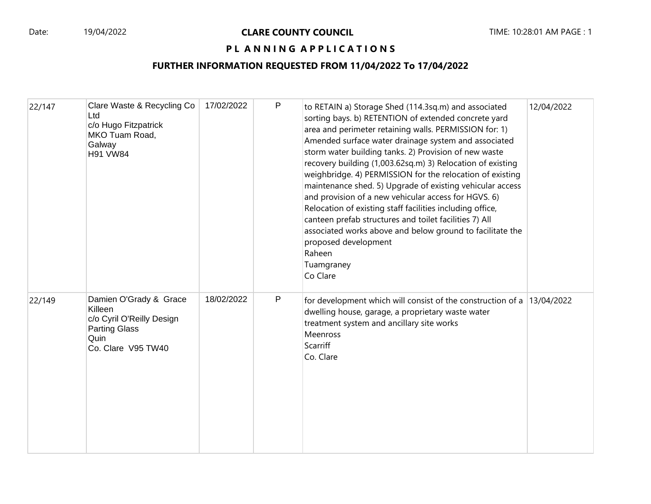### PL ANNING APPLICATIONS

### **FURTHER INFORMATION REQUESTED FROM 11/04/2022 To 17/04/2022**

| 22/147 | Clare Waste & Recycling Co<br>Ltd<br>c/o Hugo Fitzpatrick<br>MKO Tuam Road,<br>Galway<br><b>H91 VW84</b>             | 17/02/2022 | P | to RETAIN a) Storage Shed (114.3sq.m) and associated<br>sorting bays. b) RETENTION of extended concrete yard<br>area and perimeter retaining walls. PERMISSION for: 1)<br>Amended surface water drainage system and associated<br>storm water building tanks. 2) Provision of new waste<br>recovery building (1,003.62sq.m) 3) Relocation of existing<br>weighbridge. 4) PERMISSION for the relocation of existing<br>maintenance shed. 5) Upgrade of existing vehicular access<br>and provision of a new vehicular access for HGVS. 6)<br>Relocation of existing staff facilities including office,<br>canteen prefab structures and toilet facilities 7) All<br>associated works above and below ground to facilitate the<br>proposed development<br>Raheen<br>Tuamgraney<br>Co Clare | 12/04/2022 |
|--------|----------------------------------------------------------------------------------------------------------------------|------------|---|-----------------------------------------------------------------------------------------------------------------------------------------------------------------------------------------------------------------------------------------------------------------------------------------------------------------------------------------------------------------------------------------------------------------------------------------------------------------------------------------------------------------------------------------------------------------------------------------------------------------------------------------------------------------------------------------------------------------------------------------------------------------------------------------|------------|
| 22/149 | Damien O'Grady & Grace<br>Killeen<br>c/o Cyril O'Reilly Design<br><b>Parting Glass</b><br>Quin<br>Co. Clare V95 TW40 | 18/02/2022 | P | for development which will consist of the construction of a $13/04/2022$<br>dwelling house, garage, a proprietary waste water<br>treatment system and ancillary site works<br>Meenross<br>Scarriff<br>Co. Clare                                                                                                                                                                                                                                                                                                                                                                                                                                                                                                                                                                         |            |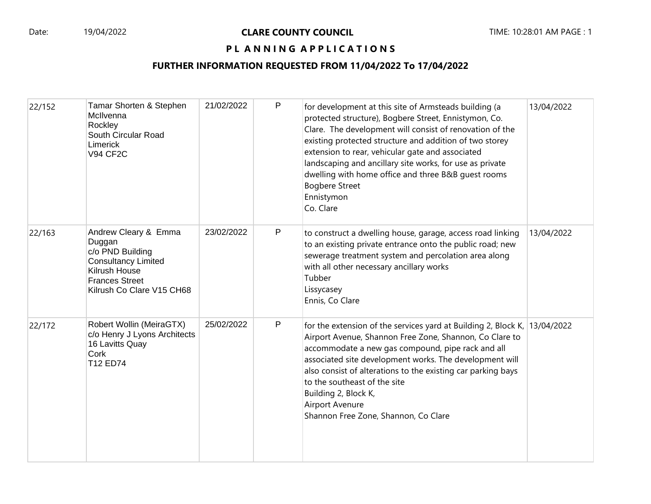### PL ANNING APPLICATIONS

### **FURTHER INFORMATION REQUESTED FROM 11/04/2022 To 17/04/2022**

| 22/152 | Tamar Shorten & Stephen<br>McIlvenna<br>Rockley<br>South Circular Road<br>Limerick<br><b>V94 CF2C</b>                                                   | 21/02/2022 | P            | for development at this site of Armsteads building (a<br>protected structure), Bogbere Street, Ennistymon, Co.<br>Clare. The development will consist of renovation of the<br>existing protected structure and addition of two storey<br>extension to rear, vehicular gate and associated<br>landscaping and ancillary site works, for use as private<br>dwelling with home office and three B&B quest rooms<br><b>Bogbere Street</b><br>Ennistymon<br>Co. Clare | 13/04/2022 |
|--------|---------------------------------------------------------------------------------------------------------------------------------------------------------|------------|--------------|------------------------------------------------------------------------------------------------------------------------------------------------------------------------------------------------------------------------------------------------------------------------------------------------------------------------------------------------------------------------------------------------------------------------------------------------------------------|------------|
| 22/163 | Andrew Cleary & Emma<br>Duggan<br>c/o PND Building<br><b>Consultancy Limited</b><br>Kilrush House<br><b>Frances Street</b><br>Kilrush Co Clare V15 CH68 | 23/02/2022 | P            | to construct a dwelling house, garage, access road linking<br>to an existing private entrance onto the public road; new<br>sewerage treatment system and percolation area along<br>with all other necessary ancillary works<br>Tubber<br>Lissycasey<br>Ennis, Co Clare                                                                                                                                                                                           | 13/04/2022 |
| 22/172 | Robert Wollin (MeiraGTX)<br>c/o Henry J Lyons Architects<br>16 Lavitts Quay<br>Cork<br>T12 ED74                                                         | 25/02/2022 | $\mathsf{P}$ | for the extension of the services yard at Building 2, Block K, 13/04/2022<br>Airport Avenue, Shannon Free Zone, Shannon, Co Clare to<br>accommodate a new gas compound, pipe rack and all<br>associated site development works. The development will<br>also consist of alterations to the existing car parking bays<br>to the southeast of the site<br>Building 2, Block K,<br>Airport Avenure<br>Shannon Free Zone, Shannon, Co Clare                          |            |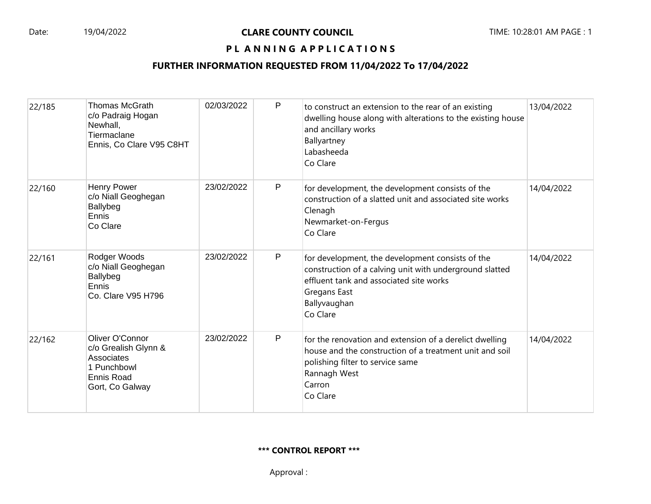### PL ANNING APPLICATIONS

### **FURTHER INFORMATION REQUESTED FROM 11/04/2022 To 17/04/2022**

| 22/185 | <b>Thomas McGrath</b><br>c/o Padraig Hogan<br>Newhall,<br>Tiermaclane<br>Ennis, Co Clare V95 C8HT     | 02/03/2022 | P            | to construct an extension to the rear of an existing<br>dwelling house along with alterations to the existing house<br>and ancillary works<br>Ballyartney<br>Labasheeda<br>Co Clare                | 13/04/2022 |
|--------|-------------------------------------------------------------------------------------------------------|------------|--------------|----------------------------------------------------------------------------------------------------------------------------------------------------------------------------------------------------|------------|
| 22/160 | <b>Henry Power</b><br>c/o Niall Geoghegan<br>Ballybeg<br>Ennis<br>Co Clare                            | 23/02/2022 | P            | for development, the development consists of the<br>construction of a slatted unit and associated site works<br>Clenagh<br>Newmarket-on-Fergus<br>Co Clare                                         | 14/04/2022 |
| 22/161 | Rodger Woods<br>c/o Niall Geoghegan<br>Ballybeg<br>Ennis<br>Co. Clare V95 H796                        | 23/02/2022 | P            | for development, the development consists of the<br>construction of a calving unit with underground slatted<br>effluent tank and associated site works<br>Gregans East<br>Ballyvaughan<br>Co Clare | 14/04/2022 |
| 22/162 | Oliver O'Connor<br>c/o Grealish Glynn &<br>Associates<br>1 Punchbowl<br>Ennis Road<br>Gort, Co Galway | 23/02/2022 | $\mathsf{P}$ | for the renovation and extension of a derelict dwelling<br>house and the construction of a treatment unit and soil<br>polishing filter to service same<br>Rannagh West<br>Carron<br>Co Clare       | 14/04/2022 |

#### **\*\*\* CONTROL REPORT \*\*\***

Approval :